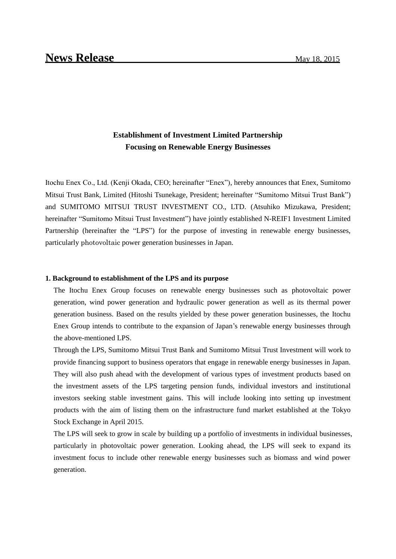## **Establishment of Investment Limited Partnership Focusing on Renewable Energy Businesses**

Itochu Enex Co., Ltd. (Kenji Okada, CEO; hereinafter "Enex"), hereby announces that Enex, Sumitomo Mitsui Trust Bank, Limited (Hitoshi Tsunekage, President; hereinafter "Sumitomo Mitsui Trust Bank") and SUMITOMO MITSUI TRUST INVESTMENT CO., LTD. (Atsuhiko Mizukawa, President; hereinafter "Sumitomo Mitsui Trust Investment") have jointly established N-REIF1 Investment Limited Partnership (hereinafter the "LPS") for the purpose of investing in renewable energy businesses, particularly photovoltaic power generation businesses in Japan.

## **1. Background to establishment of the LPS and its purpose**

The Itochu Enex Group focuses on renewable energy businesses such as photovoltaic power generation, wind power generation and hydraulic power generation as well as its thermal power generation business. Based on the results yielded by these power generation businesses, the Itochu Enex Group intends to contribute to the expansion of Japan's renewable energy businesses through the above-mentioned LPS.

Through the LPS, Sumitomo Mitsui Trust Bank and Sumitomo Mitsui Trust Investment will work to provide financing support to business operators that engage in renewable energy businesses in Japan. They will also push ahead with the development of various types of investment products based on the investment assets of the LPS targeting pension funds, individual investors and institutional investors seeking stable investment gains. This will include looking into setting up investment products with the aim of listing them on the infrastructure fund market established at the Tokyo Stock Exchange in April 2015.

The LPS will seek to grow in scale by building up a portfolio of investments in individual businesses, particularly in photovoltaic power generation. Looking ahead, the LPS will seek to expand its investment focus to include other renewable energy businesses such as biomass and wind power generation.